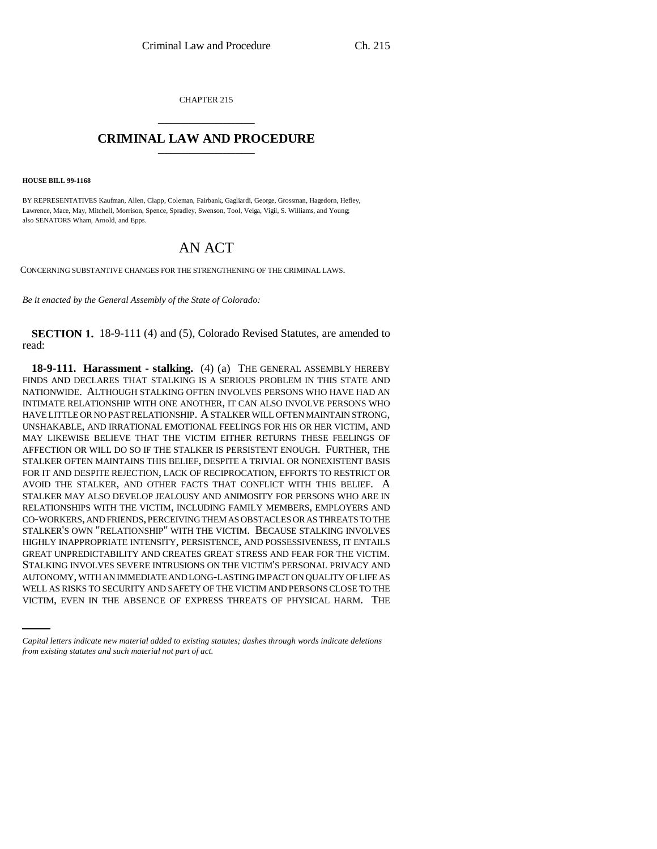CHAPTER 215 \_\_\_\_\_\_\_\_\_\_\_\_\_\_\_

## **CRIMINAL LAW AND PROCEDURE** \_\_\_\_\_\_\_\_\_\_\_\_\_\_\_

**HOUSE BILL 99-1168** 

BY REPRESENTATIVES Kaufman, Allen, Clapp, Coleman, Fairbank, Gagliardi, George, Grossman, Hagedorn, Hefley, Lawrence, Mace, May, Mitchell, Morrison, Spence, Spradley, Swenson, Tool, Veiga, Vigil, S. Williams, and Young; also SENATORS Wham, Arnold, and Epps.

# AN ACT

CONCERNING SUBSTANTIVE CHANGES FOR THE STRENGTHENING OF THE CRIMINAL LAWS.

*Be it enacted by the General Assembly of the State of Colorado:*

**SECTION 1.** 18-9-111 (4) and (5), Colorado Revised Statutes, are amended to read:

AUTONOMY, WITH AN IMMEDIATE AND LONG-LASTING IMPACT ON QUALITY OF LIFE AS **18-9-111. Harassment - stalking.** (4) (a) THE GENERAL ASSEMBLY HEREBY FINDS AND DECLARES THAT STALKING IS A SERIOUS PROBLEM IN THIS STATE AND NATIONWIDE. ALTHOUGH STALKING OFTEN INVOLVES PERSONS WHO HAVE HAD AN INTIMATE RELATIONSHIP WITH ONE ANOTHER, IT CAN ALSO INVOLVE PERSONS WHO HAVE LITTLE OR NO PAST RELATIONSHIP. A STALKER WILL OFTEN MAINTAIN STRONG, UNSHAKABLE, AND IRRATIONAL EMOTIONAL FEELINGS FOR HIS OR HER VICTIM, AND MAY LIKEWISE BELIEVE THAT THE VICTIM EITHER RETURNS THESE FEELINGS OF AFFECTION OR WILL DO SO IF THE STALKER IS PERSISTENT ENOUGH. FURTHER, THE STALKER OFTEN MAINTAINS THIS BELIEF, DESPITE A TRIVIAL OR NONEXISTENT BASIS FOR IT AND DESPITE REJECTION, LACK OF RECIPROCATION, EFFORTS TO RESTRICT OR AVOID THE STALKER, AND OTHER FACTS THAT CONFLICT WITH THIS BELIEF. A STALKER MAY ALSO DEVELOP JEALOUSY AND ANIMOSITY FOR PERSONS WHO ARE IN RELATIONSHIPS WITH THE VICTIM, INCLUDING FAMILY MEMBERS, EMPLOYERS AND CO-WORKERS, AND FRIENDS, PERCEIVING THEM AS OBSTACLES OR AS THREATS TO THE STALKER'S OWN "RELATIONSHIP" WITH THE VICTIM. BECAUSE STALKING INVOLVES HIGHLY INAPPROPRIATE INTENSITY, PERSISTENCE, AND POSSESSIVENESS, IT ENTAILS GREAT UNPREDICTABILITY AND CREATES GREAT STRESS AND FEAR FOR THE VICTIM. STALKING INVOLVES SEVERE INTRUSIONS ON THE VICTIM'S PERSONAL PRIVACY AND WELL AS RISKS TO SECURITY AND SAFETY OF THE VICTIM AND PERSONS CLOSE TO THE VICTIM, EVEN IN THE ABSENCE OF EXPRESS THREATS OF PHYSICAL HARM. THE

*Capital letters indicate new material added to existing statutes; dashes through words indicate deletions from existing statutes and such material not part of act.*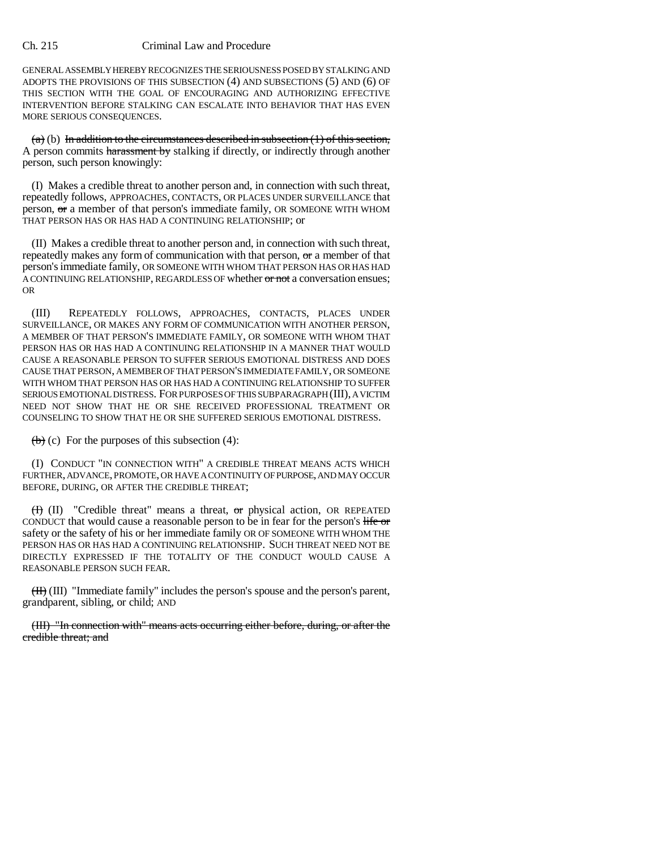#### Ch. 215 Criminal Law and Procedure

GENERAL ASSEMBLY HEREBY RECOGNIZES THE SERIOUSNESS POSED BY STALKING AND ADOPTS THE PROVISIONS OF THIS SUBSECTION (4) AND SUBSECTIONS (5) AND (6) OF THIS SECTION WITH THE GOAL OF ENCOURAGING AND AUTHORIZING EFFECTIVE INTERVENTION BEFORE STALKING CAN ESCALATE INTO BEHAVIOR THAT HAS EVEN MORE SERIOUS CONSEQUENCES.

 $(a)$  (b) In addition to the circumstances described in subsection (1) of this section, A person commits harassment by stalking if directly, or indirectly through another person, such person knowingly:

(I) Makes a credible threat to another person and, in connection with such threat, repeatedly follows, APPROACHES, CONTACTS, OR PLACES UNDER SURVEILLANCE that person, or a member of that person's immediate family, OR SOMEONE WITH WHOM THAT PERSON HAS OR HAS HAD A CONTINUING RELATIONSHIP; or

(II) Makes a credible threat to another person and, in connection with such threat, repeatedly makes any form of communication with that person, or a member of that person's immediate family, OR SOMEONE WITH WHOM THAT PERSON HAS OR HAS HAD A CONTINUING RELATIONSHIP, REGARDLESS OF whether or not a conversation ensues; OR

(III) REPEATEDLY FOLLOWS, APPROACHES, CONTACTS, PLACES UNDER SURVEILLANCE, OR MAKES ANY FORM OF COMMUNICATION WITH ANOTHER PERSON, A MEMBER OF THAT PERSON'S IMMEDIATE FAMILY, OR SOMEONE WITH WHOM THAT PERSON HAS OR HAS HAD A CONTINUING RELATIONSHIP IN A MANNER THAT WOULD CAUSE A REASONABLE PERSON TO SUFFER SERIOUS EMOTIONAL DISTRESS AND DOES CAUSE THAT PERSON, A MEMBER OF THAT PERSON'S IMMEDIATE FAMILY, OR SOMEONE WITH WHOM THAT PERSON HAS OR HAS HAD A CONTINUING RELATIONSHIP TO SUFFER SERIOUS EMOTIONAL DISTRESS. FOR PURPOSES OF THIS SUBPARAGRAPH (III), A VICTIM NEED NOT SHOW THAT HE OR SHE RECEIVED PROFESSIONAL TREATMENT OR COUNSELING TO SHOW THAT HE OR SHE SUFFERED SERIOUS EMOTIONAL DISTRESS.

 $(b)$  (c) For the purposes of this subsection (4):

(I) CONDUCT "IN CONNECTION WITH" A CREDIBLE THREAT MEANS ACTS WHICH FURTHER, ADVANCE, PROMOTE, OR HAVE A CONTINUITY OF PURPOSE, AND MAY OCCUR BEFORE, DURING, OR AFTER THE CREDIBLE THREAT;

 $(H)$  (II) "Credible threat" means a threat, or physical action, OR REPEATED CONDUCT that would cause a reasonable person to be in fear for the person's life or safety or the safety of his or her immediate family OR OF SOMEONE WITH WHOM THE PERSON HAS OR HAS HAD A CONTINUING RELATIONSHIP. SUCH THREAT NEED NOT BE DIRECTLY EXPRESSED IF THE TOTALITY OF THE CONDUCT WOULD CAUSE A REASONABLE PERSON SUCH FEAR.

(II) (III) "Immediate family" includes the person's spouse and the person's parent, grandparent, sibling, or child; AND

(III) "In connection with" means acts occurring either before, during, or after the credible threat; and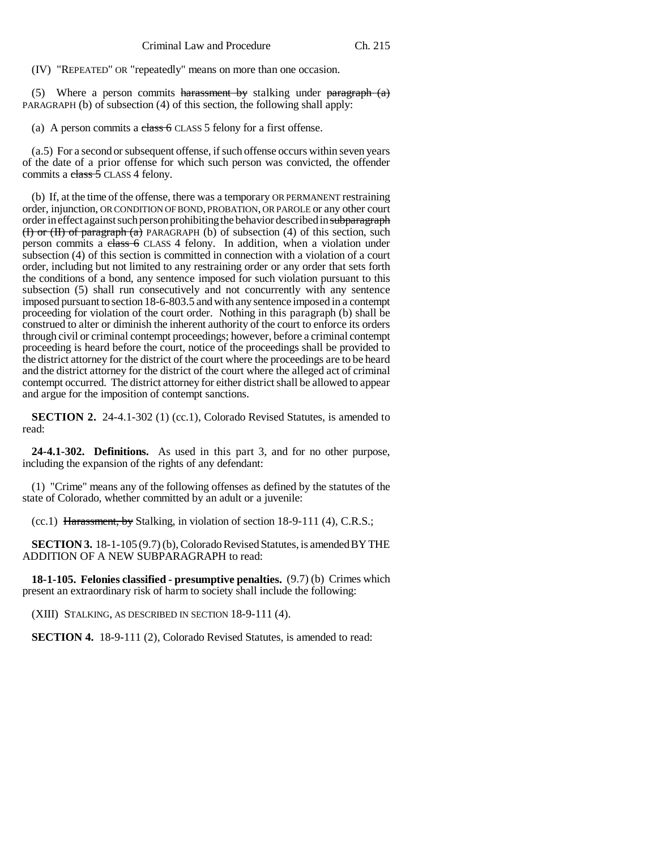(IV) "REPEATED" OR "repeatedly" means on more than one occasion.

(5) Where a person commits harassment by stalking under paragraph  $(a)$ PARAGRAPH (b) of subsection (4) of this section, the following shall apply:

(a) A person commits a  $\frac{class 6}{Class 5}$  felony for a first offense.

(a.5) For a second or subsequent offense, if such offense occurs within seven years of the date of a prior offense for which such person was convicted, the offender commits a  $\frac{class}{5}$  CLASS 4 felony.

(b) If, at the time of the offense, there was a temporary OR PERMANENT restraining order, injunction, OR CONDITION OF BOND, PROBATION, OR PAROLE or any other court order in effect against such person prohibiting the behavior described in subparagraph (**I)** or (**H**) of paragraph (a) PARAGRAPH (b) of subsection (4) of this section, such person commits a class 6 CLASS 4 felony. In addition, when a violation under subsection (4) of this section is committed in connection with a violation of a court order, including but not limited to any restraining order or any order that sets forth the conditions of a bond, any sentence imposed for such violation pursuant to this subsection (5) shall run consecutively and not concurrently with any sentence imposed pursuant to section 18-6-803.5 and with any sentence imposed in a contempt proceeding for violation of the court order. Nothing in this paragraph (b) shall be construed to alter or diminish the inherent authority of the court to enforce its orders through civil or criminal contempt proceedings; however, before a criminal contempt proceeding is heard before the court, notice of the proceedings shall be provided to the district attorney for the district of the court where the proceedings are to be heard and the district attorney for the district of the court where the alleged act of criminal contempt occurred. The district attorney for either district shall be allowed to appear and argue for the imposition of contempt sanctions.

**SECTION 2.** 24-4.1-302 (1) (cc.1), Colorado Revised Statutes, is amended to read:

**24-4.1-302. Definitions.** As used in this part 3, and for no other purpose, including the expansion of the rights of any defendant:

(1) "Crime" means any of the following offenses as defined by the statutes of the state of Colorado, whether committed by an adult or a juvenile:

(cc.1) Harassment, by Stalking, in violation of section 18-9-111 (4), C.R.S.;

**SECTION 3.** 18-1-105 (9.7) (b), Colorado Revised Statutes, is amended BY THE ADDITION OF A NEW SUBPARAGRAPH to read:

**18-1-105. Felonies classified - presumptive penalties.** (9.7) (b) Crimes which present an extraordinary risk of harm to society shall include the following:

(XIII) STALKING, AS DESCRIBED IN SECTION 18-9-111 (4).

**SECTION 4.** 18-9-111 (2), Colorado Revised Statutes, is amended to read: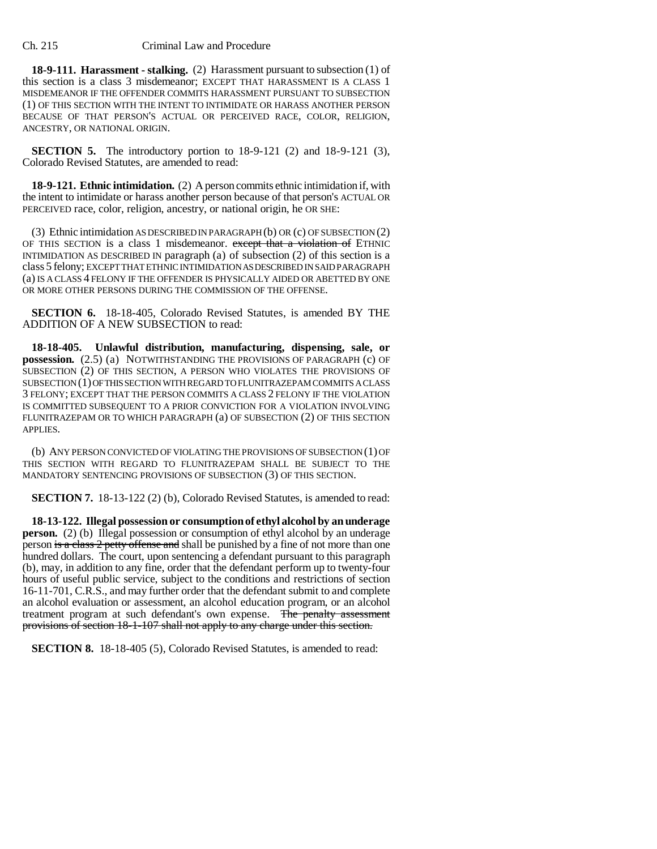**18-9-111. Harassment - stalking.** (2) Harassment pursuant to subsection (1) of this section is a class 3 misdemeanor; EXCEPT THAT HARASSMENT IS A CLASS 1 MISDEMEANOR IF THE OFFENDER COMMITS HARASSMENT PURSUANT TO SUBSECTION (1) OF THIS SECTION WITH THE INTENT TO INTIMIDATE OR HARASS ANOTHER PERSON BECAUSE OF THAT PERSON'S ACTUAL OR PERCEIVED RACE, COLOR, RELIGION, ANCESTRY, OR NATIONAL ORIGIN.

**SECTION 5.** The introductory portion to 18-9-121 (2) and 18-9-121 (3), Colorado Revised Statutes, are amended to read:

**18-9-121. Ethnic intimidation.** (2) A person commits ethnic intimidation if, with the intent to intimidate or harass another person because of that person's ACTUAL OR PERCEIVED race, color, religion, ancestry, or national origin, he OR SHE:

(3) Ethnic intimidation AS DESCRIBED IN PARAGRAPH (b) OR (c) OF SUBSECTION (2) OF THIS SECTION is a class 1 misdemeanor. except that a violation of ETHNIC INTIMIDATION AS DESCRIBED IN paragraph (a) of subsection (2) of this section is a class 5 felony; EXCEPT THAT ETHNIC INTIMIDATION AS DESCRIBED IN SAID PARAGRAPH (a) IS A CLASS 4 FELONY IF THE OFFENDER IS PHYSICALLY AIDED OR ABETTED BY ONE OR MORE OTHER PERSONS DURING THE COMMISSION OF THE OFFENSE.

**SECTION 6.** 18-18-405, Colorado Revised Statutes, is amended BY THE ADDITION OF A NEW SUBSECTION to read:

**18-18-405. Unlawful distribution, manufacturing, dispensing, sale, or possession.** (2.5) (a) NOTWITHSTANDING THE PROVISIONS OF PARAGRAPH (c) OF SUBSECTION (2) OF THIS SECTION, A PERSON WHO VIOLATES THE PROVISIONS OF SUBSECTION (1) OF THIS SECTION WITH REGARD TO FLUNITRAZEPAM COMMITS A CLASS 3 FELONY; EXCEPT THAT THE PERSON COMMITS A CLASS 2 FELONY IF THE VIOLATION IS COMMITTED SUBSEQUENT TO A PRIOR CONVICTION FOR A VIOLATION INVOLVING FLUNITRAZEPAM OR TO WHICH PARAGRAPH (a) OF SUBSECTION (2) OF THIS SECTION APPLIES.

(b) ANY PERSON CONVICTED OF VIOLATING THE PROVISIONS OF SUBSECTION (1) OF THIS SECTION WITH REGARD TO FLUNITRAZEPAM SHALL BE SUBJECT TO THE MANDATORY SENTENCING PROVISIONS OF SUBSECTION (3) OF THIS SECTION.

**SECTION 7.** 18-13-122 (2) (b), Colorado Revised Statutes, is amended to read:

**18-13-122. Illegal possession or consumption of ethyl alcohol by an underage person.** (2) (b) Illegal possession or consumption of ethyl alcohol by an underage person is a class 2 petty offense and shall be punished by a fine of not more than one hundred dollars. The court, upon sentencing a defendant pursuant to this paragraph (b), may, in addition to any fine, order that the defendant perform up to twenty-four hours of useful public service, subject to the conditions and restrictions of section 16-11-701, C.R.S., and may further order that the defendant submit to and complete an alcohol evaluation or assessment, an alcohol education program, or an alcohol treatment program at such defendant's own expense. The penalty assessment provisions of section 18-1-107 shall not apply to any charge under this section.

**SECTION 8.** 18-18-405 (5), Colorado Revised Statutes, is amended to read: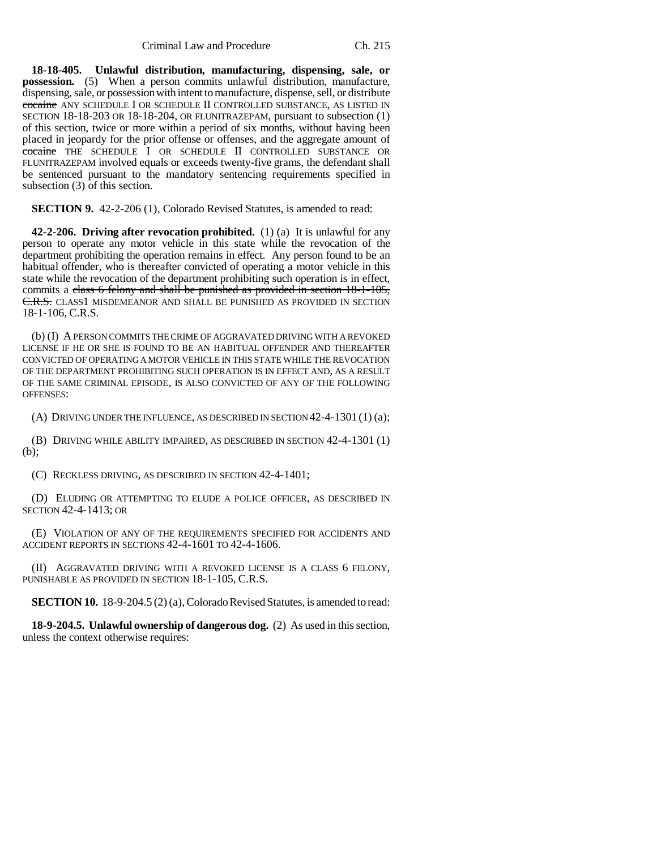**18-18-405. Unlawful distribution, manufacturing, dispensing, sale, or possession.** (5) When a person commits unlawful distribution, manufacture, dispensing, sale, or possession with intent to manufacture, dispense, sell, or distribute cocaine ANY SCHEDULE I OR SCHEDULE II CONTROLLED SUBSTANCE, AS LISTED IN SECTION 18-18-203 OR 18-18-204, OR FLUNITRAZEPAM, pursuant to subsection (1) of this section, twice or more within a period of six months, without having been placed in jeopardy for the prior offense or offenses, and the aggregate amount of cocaine THE SCHEDULE I OR SCHEDULE II CONTROLLED SUBSTANCE OR FLUNITRAZEPAM involved equals or exceeds twenty-five grams, the defendant shall be sentenced pursuant to the mandatory sentencing requirements specified in subsection (3) of this section.

**SECTION 9.** 42-2-206 (1), Colorado Revised Statutes, is amended to read:

**42-2-206. Driving after revocation prohibited.** (1) (a) It is unlawful for any person to operate any motor vehicle in this state while the revocation of the department prohibiting the operation remains in effect. Any person found to be an habitual offender, who is thereafter convicted of operating a motor vehicle in this state while the revocation of the department prohibiting such operation is in effect, commits a class 6 felony and shall be punished as provided in section 18-1-105, C.R.S. CLASS1 MISDEMEANOR AND SHALL BE PUNISHED AS PROVIDED IN SECTION 18-1-106, C.R.S.

(b) (I) A PERSON COMMITS THE CRIME OF AGGRAVATED DRIVING WITH A REVOKED LICENSE IF HE OR SHE IS FOUND TO BE AN HABITUAL OFFENDER AND THEREAFTER CONVICTED OF OPERATING A MOTOR VEHICLE IN THIS STATE WHILE THE REVOCATION OF THE DEPARTMENT PROHIBITING SUCH OPERATION IS IN EFFECT AND, AS A RESULT OF THE SAME CRIMINAL EPISODE, IS ALSO CONVICTED OF ANY OF THE FOLLOWING OFFENSES:

(A) DRIVING UNDER THE INFLUENCE, AS DESCRIBED IN SECTION 42-4-1301 (1) (a);

(B) DRIVING WHILE ABILITY IMPAIRED, AS DESCRIBED IN SECTION 42-4-1301 (1) (b);

(C) RECKLESS DRIVING, AS DESCRIBED IN SECTION 42-4-1401;

(D) ELUDING OR ATTEMPTING TO ELUDE A POLICE OFFICER, AS DESCRIBED IN SECTION 42-4-1413; OR

(E) VIOLATION OF ANY OF THE REQUIREMENTS SPECIFIED FOR ACCIDENTS AND ACCIDENT REPORTS IN SECTIONS 42-4-1601 TO 42-4-1606.

(II) AGGRAVATED DRIVING WITH A REVOKED LICENSE IS A CLASS 6 FELONY, PUNISHABLE AS PROVIDED IN SECTION 18-1-105, C.R.S.

**SECTION 10.** 18-9-204.5 (2) (a), Colorado Revised Statutes, is amended to read:

**18-9-204.5. Unlawful ownership of dangerous dog.** (2) As used in this section, unless the context otherwise requires: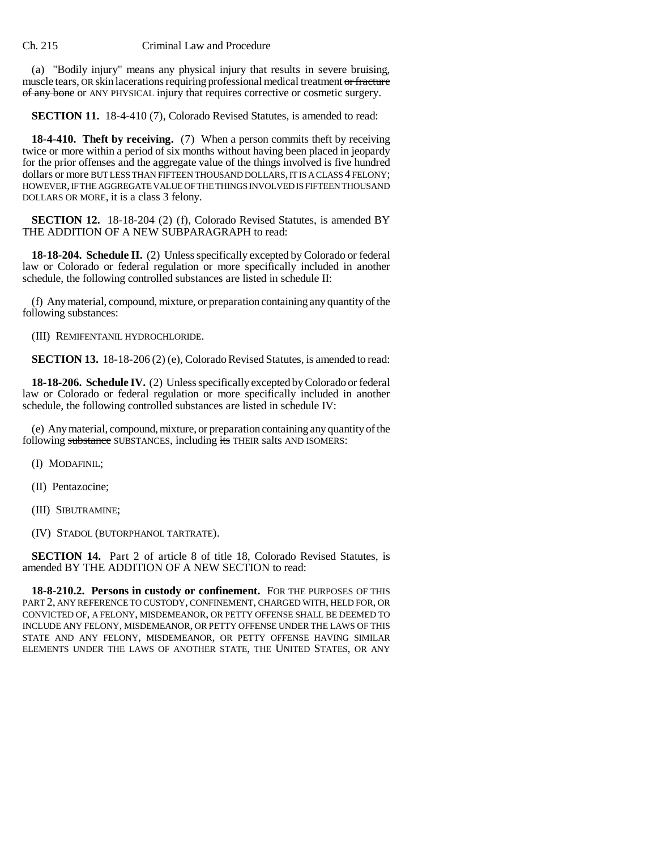#### Ch. 215 Criminal Law and Procedure

(a) "Bodily injury" means any physical injury that results in severe bruising, muscle tears, OR skin lacerations requiring professional medical treatment or fracture of any bone or ANY PHYSICAL injury that requires corrective or cosmetic surgery.

**SECTION 11.** 18-4-410 (7), Colorado Revised Statutes, is amended to read:

**18-4-410. Theft by receiving.** (7) When a person commits theft by receiving twice or more within a period of six months without having been placed in jeopardy for the prior offenses and the aggregate value of the things involved is five hundred dollars or more BUT LESS THAN FIFTEEN THOUSAND DOLLARS, IT IS A CLASS 4 FELONY; HOWEVER, IF THE AGGREGATE VALUE OF THE THINGS INVOLVED IS FIFTEEN THOUSAND DOLLARS OR MORE, it is a class 3 felony.

**SECTION 12.** 18-18-204 (2) (f), Colorado Revised Statutes, is amended BY THE ADDITION OF A NEW SUBPARAGRAPH to read:

**18-18-204. Schedule II.** (2) Unless specifically excepted by Colorado or federal law or Colorado or federal regulation or more specifically included in another schedule, the following controlled substances are listed in schedule II:

(f) Any material, compound, mixture, or preparation containing any quantity of the following substances:

(III) REMIFENTANIL HYDROCHLORIDE.

**SECTION 13.** 18-18-206 (2) (e), Colorado Revised Statutes, is amended to read:

**18-18-206. Schedule IV.** (2) Unless specifically excepted by Colorado or federal law or Colorado or federal regulation or more specifically included in another schedule, the following controlled substances are listed in schedule IV:

(e) Any material, compound, mixture, or preparation containing any quantity of the following substance SUBSTANCES, including its THEIR salts AND ISOMERS:

(I) MODAFINIL;

(II) Pentazocine;

(III) SIBUTRAMINE;

(IV) STADOL (BUTORPHANOL TARTRATE).

**SECTION 14.** Part 2 of article 8 of title 18, Colorado Revised Statutes, is amended BY THE ADDITION OF A NEW SECTION to read:

**18-8-210.2. Persons in custody or confinement.** FOR THE PURPOSES OF THIS PART 2, ANY REFERENCE TO CUSTODY, CONFINEMENT, CHARGED WITH, HELD FOR, OR CONVICTED OF, A FELONY, MISDEMEANOR, OR PETTY OFFENSE SHALL BE DEEMED TO INCLUDE ANY FELONY, MISDEMEANOR, OR PETTY OFFENSE UNDER THE LAWS OF THIS STATE AND ANY FELONY, MISDEMEANOR, OR PETTY OFFENSE HAVING SIMILAR ELEMENTS UNDER THE LAWS OF ANOTHER STATE, THE UNITED STATES, OR ANY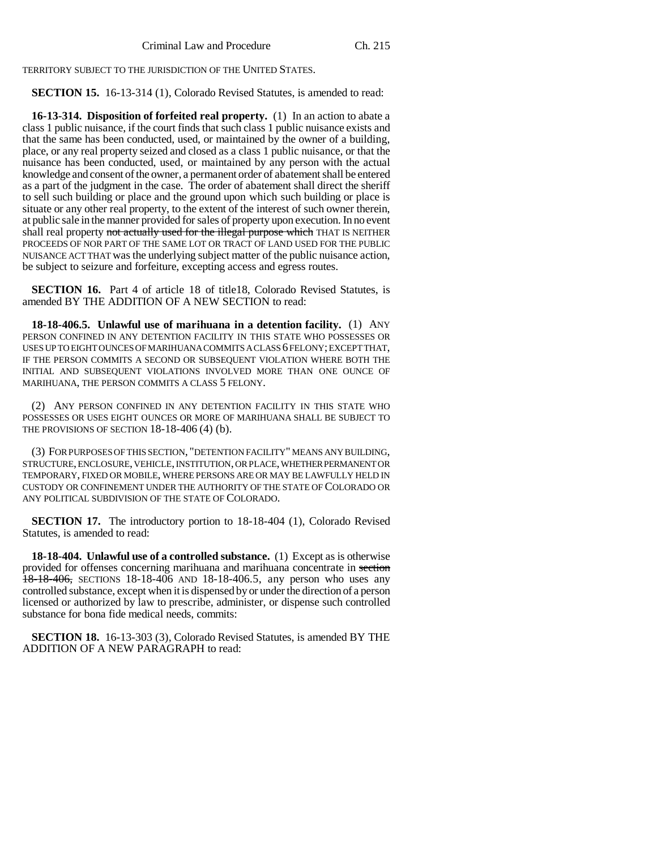TERRITORY SUBJECT TO THE JURISDICTION OF THE UNITED STATES.

### **SECTION 15.** 16-13-314 (1), Colorado Revised Statutes, is amended to read:

**16-13-314. Disposition of forfeited real property.** (1) In an action to abate a class 1 public nuisance, if the court finds that such class 1 public nuisance exists and that the same has been conducted, used, or maintained by the owner of a building, place, or any real property seized and closed as a class 1 public nuisance, or that the nuisance has been conducted, used, or maintained by any person with the actual knowledge and consent of the owner, a permanent order of abatement shall be entered as a part of the judgment in the case. The order of abatement shall direct the sheriff to sell such building or place and the ground upon which such building or place is situate or any other real property, to the extent of the interest of such owner therein, at public sale in the manner provided for sales of property upon execution. In no event shall real property not actually used for the illegal purpose which THAT IS NEITHER PROCEEDS OF NOR PART OF THE SAME LOT OR TRACT OF LAND USED FOR THE PUBLIC NUISANCE ACT THAT was the underlying subject matter of the public nuisance action, be subject to seizure and forfeiture, excepting access and egress routes.

**SECTION 16.** Part 4 of article 18 of title18, Colorado Revised Statutes, is amended BY THE ADDITION OF A NEW SECTION to read:

**18-18-406.5. Unlawful use of marihuana in a detention facility.** (1) ANY PERSON CONFINED IN ANY DETENTION FACILITY IN THIS STATE WHO POSSESSES OR USES UP TO EIGHT OUNCES OF MARIHUANA COMMITS A CLASS 6 FELONY; EXCEPT THAT, IF THE PERSON COMMITS A SECOND OR SUBSEQUENT VIOLATION WHERE BOTH THE INITIAL AND SUBSEQUENT VIOLATIONS INVOLVED MORE THAN ONE OUNCE OF MARIHUANA, THE PERSON COMMITS A CLASS 5 FELONY.

(2) ANY PERSON CONFINED IN ANY DETENTION FACILITY IN THIS STATE WHO POSSESSES OR USES EIGHT OUNCES OR MORE OF MARIHUANA SHALL BE SUBJECT TO THE PROVISIONS OF SECTION 18-18-406 (4) (b).

(3) FOR PURPOSES OF THIS SECTION, "DETENTION FACILITY" MEANS ANY BUILDING, STRUCTURE, ENCLOSURE, VEHICLE, INSTITUTION, OR PLACE, WHETHER PERMANENT OR TEMPORARY, FIXED OR MOBILE, WHERE PERSONS ARE OR MAY BE LAWFULLY HELD IN CUSTODY OR CONFINEMENT UNDER THE AUTHORITY OF THE STATE OF COLORADO OR ANY POLITICAL SUBDIVISION OF THE STATE OF COLORADO.

**SECTION 17.** The introductory portion to 18-18-404 (1), Colorado Revised Statutes, is amended to read:

**18-18-404. Unlawful use of a controlled substance.** (1) Except as is otherwise provided for offenses concerning marihuana and marihuana concentrate in section  $18-18-406$ , SECTIONS 18-18-406 AND 18-18-406.5, any person who uses any controlled substance, except when it is dispensed by or under the direction of a person licensed or authorized by law to prescribe, administer, or dispense such controlled substance for bona fide medical needs, commits:

**SECTION 18.** 16-13-303 (3), Colorado Revised Statutes, is amended BY THE ADDITION OF A NEW PARAGRAPH to read: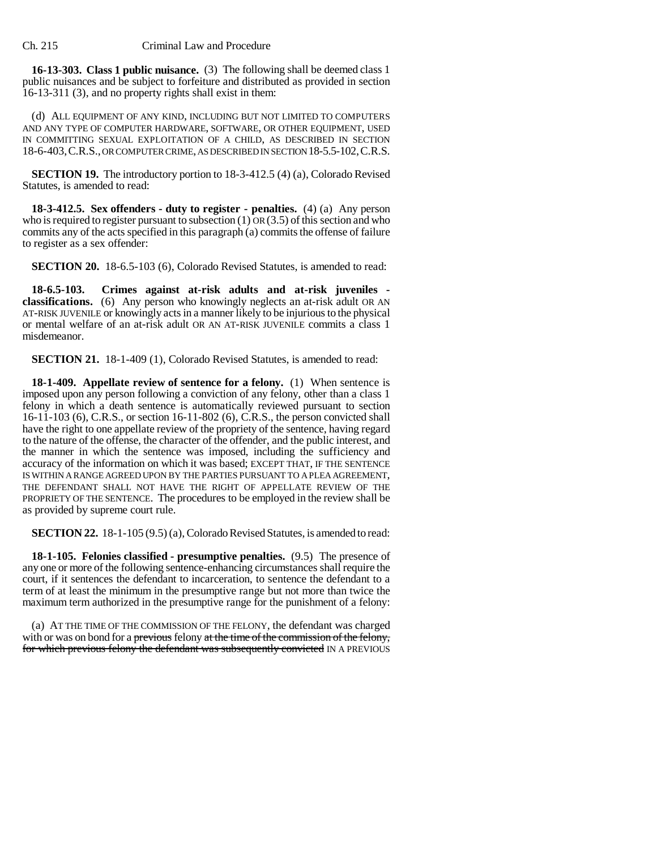**16-13-303. Class 1 public nuisance.** (3) The following shall be deemed class 1 public nuisances and be subject to forfeiture and distributed as provided in section 16-13-311 (3), and no property rights shall exist in them:

(d) ALL EQUIPMENT OF ANY KIND, INCLUDING BUT NOT LIMITED TO COMPUTERS AND ANY TYPE OF COMPUTER HARDWARE, SOFTWARE, OR OTHER EQUIPMENT, USED IN COMMITTING SEXUAL EXPLOITATION OF A CHILD, AS DESCRIBED IN SECTION 18-6-403,C.R.S., OR COMPUTER CRIME, AS DESCRIBED IN SECTION 18-5.5-102,C.R.S.

**SECTION 19.** The introductory portion to 18-3-412.5 (4) (a), Colorado Revised Statutes, is amended to read:

**18-3-412.5. Sex offenders - duty to register - penalties.** (4) (a) Any person who is required to register pursuant to subsection  $(1)$  OR  $(3.5)$  of this section and who commits any of the acts specified in this paragraph (a) commits the offense of failure to register as a sex offender:

**SECTION 20.** 18-6.5-103 (6), Colorado Revised Statutes, is amended to read:

**18-6.5-103. Crimes against at-risk adults and at-risk juveniles classifications.** (6) Any person who knowingly neglects an at-risk adult OR AN AT-RISK JUVENILE or knowingly acts in a manner likely to be injurious to the physical or mental welfare of an at-risk adult OR AN AT-RISK JUVENILE commits a class 1 misdemeanor.

**SECTION 21.** 18-1-409 (1), Colorado Revised Statutes, is amended to read:

**18-1-409. Appellate review of sentence for a felony.** (1) When sentence is imposed upon any person following a conviction of any felony, other than a class 1 felony in which a death sentence is automatically reviewed pursuant to section 16-11-103 (6), C.R.S., or section 16-11-802 (6), C.R.S., the person convicted shall have the right to one appellate review of the propriety of the sentence, having regard to the nature of the offense, the character of the offender, and the public interest, and the manner in which the sentence was imposed, including the sufficiency and accuracy of the information on which it was based; EXCEPT THAT, IF THE SENTENCE IS WITHIN A RANGE AGREED UPON BY THE PARTIES PURSUANT TO A PLEA AGREEMENT, THE DEFENDANT SHALL NOT HAVE THE RIGHT OF APPELLATE REVIEW OF THE PROPRIETY OF THE SENTENCE. The procedures to be employed in the review shall be as provided by supreme court rule.

**SECTION 22.** 18-1-105 (9.5) (a), Colorado Revised Statutes, is amended to read:

**18-1-105. Felonies classified - presumptive penalties.** (9.5) The presence of any one or more of the following sentence-enhancing circumstances shall require the court, if it sentences the defendant to incarceration, to sentence the defendant to a term of at least the minimum in the presumptive range but not more than twice the maximum term authorized in the presumptive range for the punishment of a felony:

(a) AT THE TIME OF THE COMMISSION OF THE FELONY, the defendant was charged with or was on bond for a previous felony at the time of the commission of the felony, for which previous felony the defendant was subsequently convicted IN A PREVIOUS